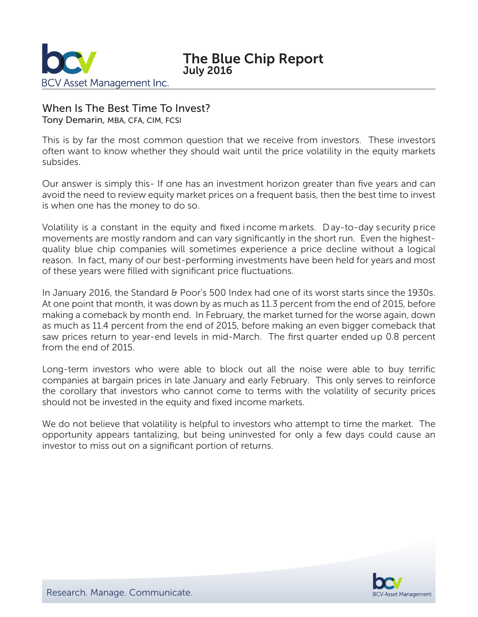

# When Is The Best Time To Invest?

Tony Demarin, MBA, CFA, CIM, FCSI

This is by far the most common question that we receive from investors. These investors often want to know whether they should wait until the price volatility in the equity markets subsides.

Our answer is simply this- If one has an investment horizon greater than five years and can avoid the need to review equity market prices on a frequent basis, then the best time to invest is when one has the money to do so.

Volatility is a constant in the equity and fixed income markets. Day-to-day security price movements are mostly random and can vary significantly in the short run. Even the highestquality blue chip companies will sometimes experience a price decline without a logical reason. In fact, many of our best-performing investments have been held for years and most of these years were filled with significant price fluctuations.

In January 2016, the Standard & Poor's 500 Index had one of its worst starts since the 1930s. At one point that month, it was down by as much as 11.3 percent from the end of 2015, before making a comeback by month end. In February, the market turned for the worse again, down as much as 11.4 percent from the end of 2015, before making an even bigger comeback that saw prices return to year-end levels in mid-March. The first quarter ended up 0.8 percent from the end of 2015.

Long-term investors who were able to block out all the noise were able to buy terrific companies at bargain prices in late January and early February. This only serves to reinforce the corollary that investors who cannot come to terms with the volatility of security prices should not be invested in the equity and fixed income markets.

We do not believe that volatility is helpful to investors who attempt to time the market. The opportunity appears tantalizing, but being uninvested for only a few days could cause an investor to miss out on a significant portion of returns.

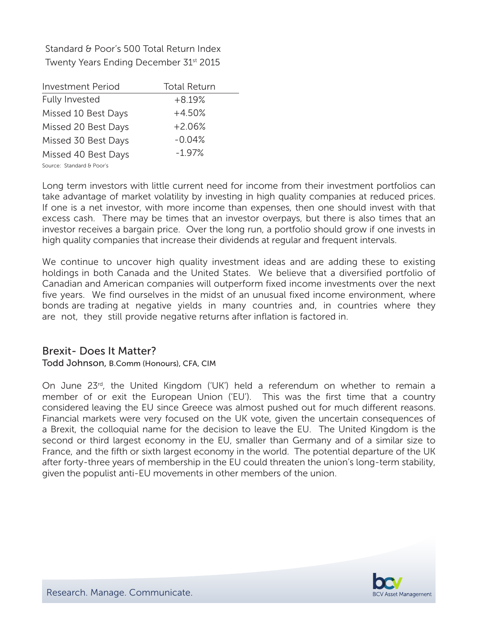Standard & Poor's 500 Total Return Index Twenty Years Ending December 31<sup>st</sup> 2015

| <b>Investment Period</b>  | <b>Total Return</b> |
|---------------------------|---------------------|
| <b>Fully Invested</b>     | $+8.19%$            |
| Missed 10 Best Days       | $+4.50%$            |
| Missed 20 Best Days       | $+2.06%$            |
| Missed 30 Best Days       | $-0.04%$            |
| Missed 40 Best Days       | $-1.97%$            |
| Source: Standard & Poor's |                     |

Long term investors with little current need for income from their investment portfolios can take advantage of market volatility by investing in high quality companies at reduced prices. If one is a net investor, with more income than expenses, then one should invest with that excess cash. There may be times that an investor overpays, but there is also times that an investor receives a bargain price. Over the long run, a portfolio should grow if one invests in high quality companies that increase their dividends at regular and frequent intervals.

We continue to uncover high quality investment ideas and are adding these to existing holdings in both Canada and the United States. We believe that a diversified portfolio of Canadian and American companies will outperform fixed income investments over the next five years. We find ourselves in the midst of an unusual fixed income environment, where bonds are trading at negative yields in many countries and, in countries where they are not, they still provide negative returns after inflation is factored in.

## Brexit- Does It Matter?

### Todd Johnson, B.Comm (Honours), CFA, CIM

On June 23<sup>rd</sup>, the United Kingdom ('UK') held a referendum on whether to remain a member of or exit the European Union ('EU'). This was the first time that a country considered leaving the EU since Greece was almost pushed out for much different reasons. Financial markets were very focused on the UK vote, given the uncertain consequences of a Brexit, the colloquial name for the decision to leave the EU. The United Kingdom is the second or third largest economy in the EU, smaller than Germany and of a similar size to France, and the fifth or sixth largest economy in the world. The potential departure of the UK after forty-three years of membership in the EU could threaten the union's long-term stability, given the populist anti-EU movements in other members of the union.

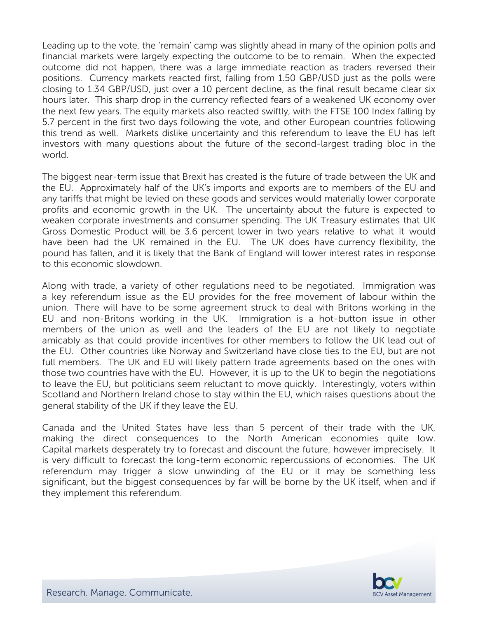Leading up to the vote, the 'remain' camp was slightly ahead in many of the opinion polls and financial markets were largely expecting the outcome to be to remain. When the expected outcome did not happen, there was a large immediate reaction as traders reversed their positions. Currency markets reacted first, falling from 1.50 GBP/USD just as the polls were closing to 1.34 GBP/USD, just over a 10 percent decline, as the final result became clear six hours later. This sharp drop in the currency reflected fears of a weakened UK economy over the next few years. The equity markets also reacted swiftly, with the FTSE 100 Index falling by 5.7 percent in the first two days following the vote, and other European countries following this trend as well. Markets dislike uncertainty and this referendum to leave the EU has left investors with many questions about the future of the second-largest trading bloc in the world.

The biggest near-term issue that Brexit has created is the future of trade between the UK and the EU. Approximately half of the UK's imports and exports are to members of the EU and any tariffs that might be levied on these goods and services would materially lower corporate profits and economic growth in the UK. The uncertainty about the future is expected to weaken corporate investments and consumer spending. The UK Treasury estimates that UK Gross Domestic Product will be 3.6 percent lower in two years relative to what it would have been had the UK remained in the EU. The UK does have currency flexibility, the pound has fallen, and it is likely that the Bank of England will lower interest rates in response to this economic slowdown.

Along with trade, a variety of other regulations need to be negotiated. Immigration was a key referendum issue as the EU provides for the free movement of labour within the union. There will have to be some agreement struck to deal with Britons working in the EU and non-Britons working in the UK. Immigration is a hot-button issue in other members of the union as well and the leaders of the EU are not likely to negotiate amicably as that could provide incentives for other members to follow the UK lead out of the EU. Other countries like Norway and Switzerland have close ties to the EU, but are not full members. The UK and EU will likely pattern trade agreements based on the ones with those two countries have with the EU. However, it is up to the UK to begin the negotiations to leave the EU, but politicians seem reluctant to move quickly. Interestingly, voters within Scotland and Northern Ireland chose to stay within the EU, which raises questions about the general stability of the UK if they leave the EU.

Canada and the United States have less than 5 percent of their trade with the UK, making the direct consequences to the North American economies quite low. Capital markets desperately try to forecast and discount the future, however imprecisely. It is very difficult to forecast the long-term economic repercussions of economies. The UK referendum may trigger a slow unwinding of the EU or it may be something less significant, but the biggest consequences by far will be borne by the UK itself, when and if they implement this referendum.

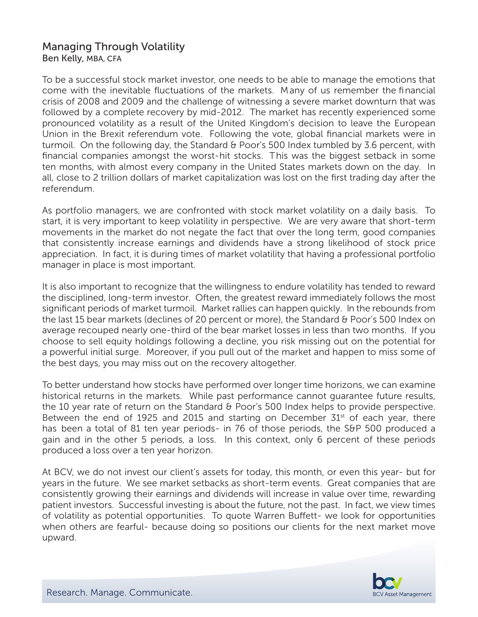## Managing Through Volatility Ben Kelly, MBA, CFA

To be a successful stock market investor, one needs to be able to manage the emotions that come with the inevitable fluctuations of the markets. Many of us remember the financial crisis of 2008 and 2009 and the challenge of witnessing a severe market downturn that was followed by a complete recovery by mid-2012. The market has recently experienced some pronounced volatility as a result of the United Kingdom's decision to leave the European Union in the Brexit referendum vote. Following the vote, global financial markets were in turmoil. On the following day, the Standard & Poor's 500 Index tumbled by 3.6 percent, with financial companies amongst the worst-hit stocks. This was the biggest setback in some ten months, with almost every company in the United States markets down on the day. In all, close to 2 trillion dollars of market capitalization was lost on the first trading day after the referendum.

As portfolio managers, we are confronted with stock market volatility on a daily basis. To start, it is very important to keep volatility in perspective. We are very aware that short-term movements in the market do not negate the fact that over the long term, good companies that consistently increase earnings and dividends have a strong likelihood of stock price appreciation. In fact, it is during times of market volatility that having a professional portfolio manager in place is most important.

It is also important to recognize that the willingness to endure volatility has tended to reward the disciplined, long-term investor. Often, the greatest reward immediately follows the most significant periods of market turmoil. Market rallies can happen quickly. In the rebounds from the last 15 bear markets (declines of 20 percent or more), the Standard & Poor's 500 Index on average recouped nearly one-third of the bear market losses in less than two months. If you choose to sell equity holdings following a decline, you risk missing out on the potential for a powerful initial surge. Moreover, if you pull out of the market and happen to miss some of the best days, you may miss out on the recovery altogether.

To better understand how stocks have performed over longer time horizons, we can examine historical returns in the markets. While past performance cannot guarantee future results, the 10 year rate of return on the Standard & Poor's 500 Index helps to provide perspective. Between the end of 1925 and 2015 and starting on December  $31<sup>st</sup>$  of each year, there has been a total of 81 ten year periods- in 76 of those periods, the S&P 500 produced a gain and in the other 5 periods, a loss. In this context, only 6 percent of these periods produced a loss over a ten year horizon.

At BCV, we do not invest our client's assets for today, this month, or even this year- but for years in the future. We see market setbacks as short-term events. Great companies that are consistently growing their earnings and dividends will increase in value over time, rewarding patient investors. Successful investing is about the future, not the past. In fact, we view times of volatility as potential opportunities. To quote Warren Buffett- we look for opportunities when others are fearful- because doing so positions our clients for the next market move upward.